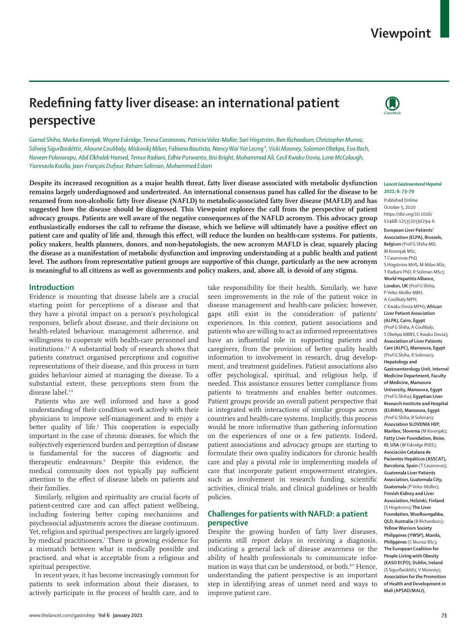# **Viewpoint**

# **Redefining fatty liver disease: an international patient perspective**

*Gamal Shiha, Marko Korenjak, Wayne Eskridge, Teresa Casanovas, Patricia Velez-Moller, Sari Högström, Ben Richardson, Christopher Munoz, Sólveig Sigurðardóttir, Alioune Coulibaly, Miskovikj Milan, Fabiana Bautista, Nancy Wai Yee Leung\*, Vicki Mooney, Solomon Obekpa, Eva Bech, Naveen Polavarapu, Abd Elkhalek Hamed, Temur Radiani, Edhie Purwanto, Bisi Bright, Mohammad Ali, Cecil Kwaku Dovia, Lone McColaugh, Yiannoula Koulla, Jean-François Dufour, Reham Soliman, Mohammed Eslam*

**Despite its increased recognition as a major health threat, fatty liver disease associated with metabolic dysfunction remains largely underdiagnosed and undertreated. An international consensus panel has called for the disease to be renamed from non-alcoholic fatty liver disease (NAFLD) to metabolic-associated fatty liver disease (MAFLD) and has suggested how the disease should be diagnosed. This Viewpoint explores the call from the perspective of patient advocacy groups. Patients are well aware of the negative consequences of the NAFLD acronym. This advocacy group enthusiastically endorses the call to reframe the disease, which we believe will ultimately have a positive effect on patient care and quality of life and, through this effect, will reduce the burden on health-care systems. For patients, policy makers, health planners, donors, and non-hepatologists, the new acronym MAFLD is clear, squarely placing the disease as a manifestation of metabolic dysfunction and improving understanding at a public health and patient level. The authors from representative patient groups are supportive of this change, particularly as the new acronym is meaningful to all citizens as well as governments and policy makers, and, above all, is devoid of any stigma.**

### **Introduction**

Evidence is mounting that disease labels are a crucial starting point for perceptions of a disease and that they have a pivotal impact on a person's psychological responses, beliefs about disease, and their decisions on health-related behaviour, management adherence, and willingness to cooperate with health-care personnel and institutions.1,2 A substantial body of research shows that patients construct organised perceptions and cognitive representations of their disease, and this process in turn guides behaviour aimed at managing the disease. To a substantial extent, these perceptions stem from the disease label.<sup>3,4</sup>

Patients who are well informed and have a good understanding of their condition work actively with their physicians to improve self-management and to enjoy a better quality of life.<sup>5</sup> This cooperation is especially important in the case of chronic diseases, for which the subjectively experienced burden and perception of disease is fundamental for the success of diagnostic and therapeutic endeavours.6 Despite this evidence, the medical community does not typically pay sufficient attention to the effect of disease labels on patients and their families.

Similarly, religion and spirituality are crucial facets of patient-centred care and can affect patient wellbeing, including fostering better coping mechanisms and psychosocial adjustments across the disease continuum. Yet, religion and spiritual perspectives are largely ignored by medical practitioners.<sup>7</sup> There is growing evidence for a mismatch between what is medically possible and practised, and what is acceptable from a religious and spiritual perspective.

In recent years, it has become increasingly common for patients to seek information about their diseases, to actively participate in the process of health care, and to take responsibility for their health. Similarly, we have seen improvements in the role of the patient voice in disease management and health-care policies; however, gaps still exist in the consideration of patients' experiences. In this context, patient associations and patients who are willing to act as informed representatives have an influential role in supporting patients and caregivers, from the provision of better quality health information to involvement in research, drug development, and treatment guidelines. Patient associations also offer psychological, spiritual, and religious help, if needed. This assistance ensures better compliance from patients to treatments and enables better outcomes. Patient groups provide an overall patient perspective that is integrated with interactions of similar groups across countries and health-care systems. Implicitly, this process would be more informative than gathering information on the experiences of one or a few patients. Indeed, patient associations and advocacy groups are starting to formulate their own quality indicators for chronic health care and play a pivotal role in implementing models of care that incorporate patient empowerment strategies, such as involvement in research funding, scientific activities, clinical trials, and clinical guidelines or health policies.

### **Challenges for patients with NAFLD: a patient perspective**

Despite the growing burden of fatty liver diseases, patients still report delays in receiving a diagnosis, indicating a general lack of disease awareness or the ability of health professionals to communicate information in ways that can be understood, or both.<sup>8,9</sup> Hence, understanding the patient perspective is an important step in identifying areas of unmet need and ways to improve patient care.



### *Lancet Gastroenterol Hepatol*  **2021; 6: 73–79**

Published **Online** October 5, 2020 https://doi.org/10.1016/ S2468-1253(20)30294-6

**European Liver Patients'** 

**Association (ELPA), Brussels, Belgium** (Prof G Shiha MD, M Korenjak MSc, T Casanovas PhD, S Högström MHS, M Milan MSc, T Radiani PhD, R Soliman MSc)**; World Hepatitis Alliance, London, UK** (Prof G Shiha, P Velez-Moller MBH, A Coulibaly MPH, C Kwaku Dovia MPH)**; African Liver Patient Association (ALPA), Cairo, Egypt** (Prof G Shiha, A Coulibaly, S Obekpa MBBS, C Kwaku Dovia)**; Association of Liver Patients Care (ALPC), Mansoura, Egypt**  (Prof G Shiha, R Soliman)**; Hepatology and Gastroenterology Unit, Internal Medicine Department, Faculty of Medicine, Mansoura University, Mansoura, Egypt**  (Prof G Shiha)**; Egyptian Liver Research Institute and Hospital (ELRIAH), Mansoura, Egypt** (Prof G Shiha, R Soliman)**; Association SLOVENIA HEP, Maribor, Slovenia** (M Korenjak)**; Fatty Liver Foundation, Boise, ID, USA** (W Eskridge BSEE)**; Asociación Catalana de Pacientes Hepáticos (ASSCAT), Barcelona, Spain** (T Casanovas)**; Guatemala Liver Patients Association, Guatemala City, Guatemala** (P Velez-Moller)**; Finnish Kidney and Liver Association, Helsinki, Finland** (S Högström)**; The Liver Foundation, Woolloongabba, QLD, Australia** (B Richardson)**; Yellow Warriors Society Philippines (YWSP), Manila, Philippines** (C Munoz BSc)**; The European Coalition for People Living with Obesity (EASO ECPO), Dublin, Ireland** (S Sigurðardóttir, V Mooney)**; Association for the Promotion of Health and Development in Mali (APSAD/MALI),**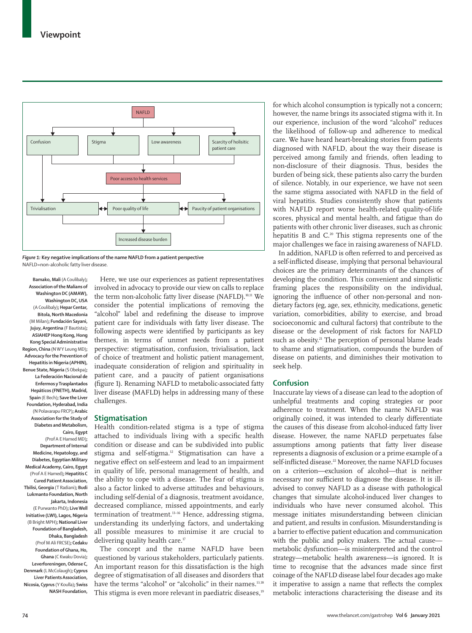

*Figure 1:* **Key negative implications of the name NAFLD from a patient perspective** NAFLD=non-alcoholic fatty liver disease.

**Bamako, Mali** (A Coulibaly)**; Association of the Malians of Washington DC (AMAW), Washington DC, USA** (A Coulibaly)**; Hepar Centar, Bitola, North Macedonia** (M Milan)**; Fundación Sayani, Jujuy, Argentina** (F Bautista)**; ASIAHEP Hong Kong, Hong Kong Special Administrative Region, China** (N W Y Leung MD)**; Advocacy for the Prevention of Hepatitis in Nigeria (APHIN), Benue State, Nigeria** (S Obekpa)**; La Federación Nacional de Enfermos y Trasplantados Hepáticos (FNETH), Madrid, Spain** (E Bech)**; Save the Liver Foundation, Hyderabad, India** (N Polavarapu FRCP)**; Arabic Association for the Study of Diabetes and Metabolism, Cairo, Egypt**

(Prof A E Hamed MD)**; Department of Internal Medicine, Hepatology, and Diabetes, Egyptian Military Medical Academy, Cairo, Egypt** (Prof A E Hamed)**; Hepatitis C Cured Patient Association, Tbilisi, Georgia** (T Radiani)**; Budi Lukmanto Foundation, North Jakarta, Indonesia** (E Purwanto PhD)**; Live Well Initiative (LWI), Lagos, Nigeria**  (B Bright MPH)**; National Liver Foundation of Bangladesh, Dhaka, Bangladesh** (Prof M Ali FRCSE)**; Cedaku Foundation of Ghana, Ho, Ghana** (C Kwaku Dovia)**; Leverforeningen, Odense C, Denmark** (L McColaugh)**; Cyprus Liver Patients Association,** 

**Nicosia, Cyprus** (Y Koulla)**; Swiss NASH Foundation,**

Here, we use our experiences as patient representatives involved in advocacy to provide our view on calls to replace the term non-alcoholic fatty liver disease (NAFLD).<sup>10,11</sup> We consider the potential implications of removing the "alcohol" label and redefining the disease to improve patient care for individuals with fatty liver disease. The following aspects were identified by participants as key themes, in terms of unmet needs from a patient perspective: stigmatisation, confusion, trivialisation, lack of choice of treatment and holistic patient management, inadequate consideration of religion and spirituality in patient care, and a paucity of patient organisations (figure 1). Renaming NAFLD to metabolic-associated fatty liver disease (MAFLD) helps in addressing many of these challenges.

### **Stigmatisation**

Health condition-related stigma is a type of stigma attached to individuals living with a specific health condition or disease and can be subdivided into public stigma and self-stigma.<sup>12</sup> Stigmatisation can have a negative effect on self-esteem and lead to an impairment in quality of life, personal management of health, and the ability to cope with a disease. The fear of stigma is also a factor linked to adverse attitudes and behaviours, including self-denial of a diagnosis, treatment avoidance, decreased compliance, missed appointments, and early termination of treatment.<sup>13-16</sup> Hence, addressing stigma, understanding its underlying factors, and undertaking all possible measures to minimise it are crucial to delivering quality health care.<sup>17</sup>

The concept and the name NAFLD have been questioned by various stakeholders, particularly patients. An important reason for this dissatisfaction is the high degree of stigmatisation of all diseases and disorders that have the terms "alcohol" or "alcoholic" in their names.<sup>13,18</sup> This stigma is even more relevant in paediatric diseases,<sup>19</sup>

for which alcohol consumption is typically not a concern; however, the name brings its associated stigma with it. In our experience, inclusion of the word "alcohol" reduces the likelihood of follow-up and adherence to medical care. We have heard heart-breaking stories from patients diagnosed with NAFLD, about the way their disease is perceived among family and friends, often leading to non-disclosure of their diagnosis. Thus, besides the burden of being sick, these [patients](https://elpa.eu/living-with-stigma-of-alcohol-dependance) also carry the burden of silence. Notably, in our experience, we have not seen the same stigma associated with NAFLD in the field of viral hepatitis. Studies consistently show that patients with NAFLD report worse health-related quality-of-life scores, physical and mental health, and fatigue than do patients with other chronic liver diseases, such as chronic hepatitis B and C.<sup>20</sup> This stigma represents one of the major challenges we face in raising awareness of NAFLD.

In addition, NAFLD is often referred to and perceived as a self-inflicted disease, implying that personal behavioural choices are the primary determinants of the chances of developing the condition. This convenient and simplistic framing places the responsibility on the individual, ignoring the influence of other non-personal and nondietary factors (eg, age, sex, ethnicity, medications, genetic variation, comorbidities, ability to exercise, and broad socioeconomic and cultural factors) that contribute to the disease or the development of risk factors for NAFLD such as obesity.<sup>21</sup> The perception of personal blame leads to shame and stigmatisation, compounds the burden of disease on patients, and diminishes their motivation to seek help.

### **Confusion**

Inaccurate lay views of a disease can lead to the adoption of unhelpful treatments and coping strategies or poor adherence to treatment. When the name NAFLD was originally coined, it was intended to clearly differentiate the causes of this disease from alcohol-induced fatty liver disease. However, the name NAFLD perpetuates false assumptions among patients that fatty liver disease represents a diagnosis of exclusion or a prime example of a self-inflicted disease.<sup>22</sup> Moreover, the name NAFLD focuses on a criterion—exclusion of alcohol—that is neither necessary nor sufficient to diagnose the disease. It is illadvised to convey NAFLD as a disease with pathological changes that simulate alcohol-induced liver changes to individuals who have never consumed alcohol. This message initiates misunderstanding between clinician and patient, and results in confusion. Misunderstanding is a barrier to effective patient education and communication with the public and policy makers. The actual cause metabolic dysfunction—is misinterpreted and the control strategy—metabolic health awareness—is ignored. It is time to recognise that the advances made since first coinage of the NAFLD disease label four decades ago make it imperative to assign a name that reflects the complex metabolic interactions characterising the disease and its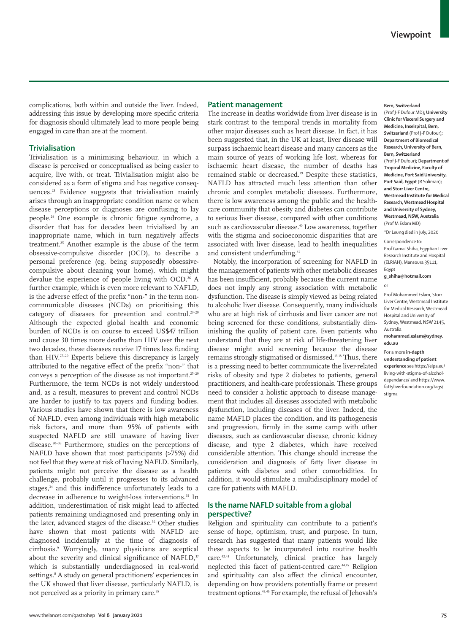complications, both within and outside the liver. Indeed, addressing this issue by developing more specific criteria for diagnosis should ultimately lead to more people being engaged in care than are at the moment.

# **Trivialisation**

Trivialisation is a minimising behaviour, in which a disease is perceived or conceptualised as being easier to acquire, live with, or treat. Trivialisation might also be considered as a form of stigma and has negative consequences.23 Evidence suggests that trivialisation mainly arises through an inappropriate condition name or when disease perceptions or diagnoses are confusing to lay people.24 One example is chronic fatigue syndrome, a disorder that has for decades been trivialised by an inappropriate name, which in turn negatively affects treatment.25 Another example is the abuse of the term obsessive-compulsive disorder (OCD), to describe a personal preference (eg, being supposedly obsessivecompulsive about cleaning your home), which might devalue the experience of people living with OCD.<sup>26</sup> A further example, which is even more relevant to NAFLD, is the adverse effect of the prefix "non-" in the term noncommunicable diseases (NCDs) on prioritising this category of diseases for prevention and control. $27-29$ Although the expected global health and economic burden of NCDs is on course to exceed US\$47 trillion and cause 30 times more deaths than HIV over the next two decades, these diseases receive 17 times less funding than HIV.27–29 Experts believe this discrepancy is largely attributed to the negative effect of the prefix "non-" that conveys a perception of the disease as not important. $27-29$ Furthermore, the term NCDs is not widely understood and, as a result, measures to prevent and control NCDs are harder to justify to tax payers and funding bodies. Various studies have shown that there is low awareness of NAFLD, even among individuals with high metabolic risk factors, and more than 95% of patients with suspected NAFLD are still unaware of having liver disease.30–33 Furthermore, studies on the perceptions of NAFLD have shown that most participants (>75%) did not feel that they were at risk of having NAFLD. Similarly, patients might not perceive the disease as a health challenge, probably until it progresses to its advanced stages,<sup>34</sup> and this indifference unfortunately leads to a decrease in adherence to weight-loss interventions.<sup>35</sup> In addition, underestimation of risk might lead to affected patients remaining undiagnosed and presenting only in the later, advanced stages of the disease.<sup>36</sup> Other studies have shown that most patients with NAFLD are diagnosed incidentally at the time of diagnosis of cirrhosis.9 Worryingly, many physicians are sceptical about the severity and clinical significance of NAFLD,<sup>37</sup> which is substantially underdiagnosed in real-world settings.<sup>8</sup> A study on general practitioners' experiences in the UK showed that liver disease, particularly NAFLD, is not perceived as a priority in primary care.<sup>38</sup>

### **Patient management**

The increase in deaths worldwide from liver disease is in stark contrast to the temporal trends in mortality from other major diseases such as heart disease. In fact, it has been suggested that, in the UK at least, liver disease will surpass ischaemic heart disease and many cancers as the main source of years of working life lost, whereas for ischaemic heart disease, the number of deaths has remained stable or decreased.39 Despite these statistics, NAFLD has attracted much less attention than other chronic and complex metabolic diseases. Furthermore, there is low awareness among the public and the healthcare community that obesity and diabetes can contribute to serious liver disease, compared with other conditions such as cardiovascular disease.<sup>40</sup> Low awareness, together with the stigma and socioeconomic disparities that are associated with liver disease, lead to health inequalities and consistent underfunding.<sup>41</sup>

Notably, the incorporation of screening for NAFLD in the management of patients with other metabolic diseases has been insufficient, probably because the current name does not imply any strong association with metabolic dysfunction. The disease is simply viewed as being related to alcoholic liver disease. Consequently, many individuals who are at high risk of cirrhosis and liver cancer are not being screened for these conditions, substantially diminishing the quality of patient care. Even patients who understand that they are at risk of life-threatening liver disease might avoid screening because the disease remains strongly stigmatised or dismissed.13,18 Thus, there is a pressing need to better communicate the liver-related risks of obesity and type 2 diabetes to patients, general practitioners, and health-care professionals. These groups need to consider a holistic approach to disease management that includes all diseases associated with metabolic dysfunction, including diseases of the liver. Indeed, the name MAFLD places the condition, and its pathogenesis and progression, firmly in the same camp with other diseases, such as cardiovascular disease, chronic kidney disease, and type 2 diabetes, which have received considerable attention. This change should increase the consideration and diagnosis of fatty liver disease in patients with diabetes and other comorbidities. In addition, it would stimulate a multidisciplinary model of care for patients with MAFLD.

## **Is the name NAFLD suitable from a global perspective?**

Religion and spirituality can contribute to a patient's sense of hope, optimism, trust, and purpose. In turn, research has suggested that many patients would like these aspects to be incorporated into routine health care.42,43 Unfortunately, clinical practice has largely neglected this facet of patient-centred care.<sup>44,45</sup> Religion and spirituality can also affect the clinical encounter, depending on how providers potentially frame or present treatment options.43,46 For example, the refusal of Jehovah's

### **Bern, Switzerland**

(Prof J-F Dufour MD)**; University Clinic for Visceral Surgery and Medicine, Inselspital, Bern, Switzerland** (Prof J-F Dufour)**; Department of Biomedical Research, University of Bern, Bern, Switzerland** (Prof J-F Dufour)**; Department of Tropical Medicine, Faculty of Medicine, Port Said University, Port Said, Egypt** (R Soliman)**; and Storr Liver Centre, Westmead Institute for Medical Research, Westmead Hospital and University of Sydney, Westmead, NSW, Australia** (Prof M Eslam MD)

\*Dr Leung died in July, 2020

Correspondence to: Prof Gamal Shiha, Egyptian Liver Research Institute and Hospital (ELRIAH), Mansoura 35111, Egypt

**g\_shiha@hotmail.com**

#### or

Prof Mohammed Eslam, Storr Liver Centre, Westmead Institute for Medical Research, Westmead Hospital and University of Sydney, Westmead, NSW 2145, Australia

**mohammed.eslam@sydney. edu.au**

### For a more **in-depth**

**understanding of patient experience** see [https://elpa.eu/](https://elpa.eu/living-with-stigma-of-alcohol-dependance) [living-with-stigma-of-alcohol](https://elpa.eu/living-with-stigma-of-alcohol-dependance)[dependance/](https://elpa.eu/living-with-stigma-of-alcohol-dependance) and [https://www.](https://www.fattyliverfoundation.org/tags/stigma) [fattyliverfoundation.org/tags/](https://www.fattyliverfoundation.org/tags/stigma) [stigma](https://www.fattyliverfoundation.org/tags/stigma)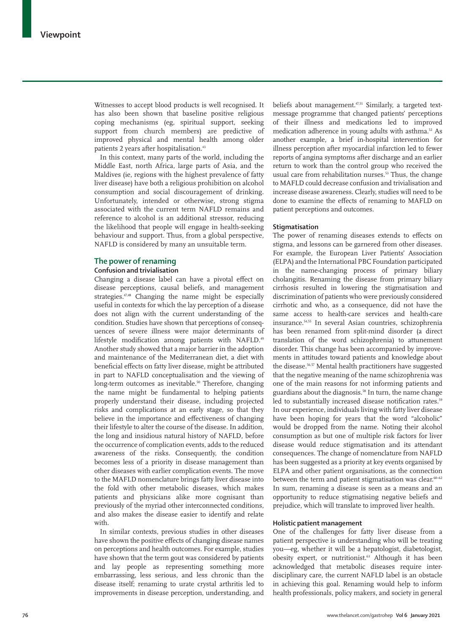Witnesses to accept blood products is well recognised. It has also been shown that baseline positive religious coping mechanisms (eg, spiritual support, seeking support from church members) are predictive of improved physical and mental health among older patients 2 years after hospitalisation.<sup>43</sup>

In this context, many parts of the world, including the Middle East, north Africa, large parts of Asia, and the Maldives (ie, regions with the highest prevalence of fatty liver disease) have both a religious prohibition on alcohol consumption and social discouragement of drinking. Unfortunately, intended or otherwise, strong stigma associated with the current term NAFLD remains and reference to alcohol is an additional stressor, reducing the likelihood that people will engage in health-seeking behaviour and support. Thus, from a global perspective, NAFLD is considered by many an unsuitable term.

# **The power of renaming**

# **Confusion and trivialisation**

Changing a disease label can have a pivotal effect on disease perceptions, causal beliefs, and management strategies.<sup>47,48</sup> Changing the name might be especially useful in contexts for which the lay perception of a disease does not align with the current understanding of the condition. Studies have shown that perceptions of consequences of severe illness were major determinants of lifestyle modification among patients with NAFLD.<sup>49</sup> Another study showed that a major barrier in the adoption and maintenance of the Mediterranean diet, a diet with beneficial effects on fatty liver disease, might be attributed in part to NAFLD conceptualisation and the viewing of long-term outcomes as inevitable.<sup>50</sup> Therefore, changing the name might be fundamental to helping patients properly understand their disease, including projected risks and complications at an early stage, so that they believe in the importance and effectiveness of changing their lifestyle to alter the course of the disease. In addition, the long and insidious natural history of NAFLD, before the occurrence of complication events, adds to the reduced awareness of the risks. Consequently, the condition becomes less of a priority in disease management than other diseases with earlier complication events. The move to the MAFLD nomenclature brings fatty liver disease into the fold with other metabolic diseases, which makes patients and physicians alike more cognisant than previously of the myriad other interconnected conditions, and also makes the disease easier to identify and relate with.

In similar contexts, previous studies in other diseases have shown the positive effects of changing disease names on perceptions and health outcomes. For example, studies have shown that the term gout was considered by patients and lay people as representing something more embarrassing, less serious, and less chronic than the disease itself; renaming to urate crystal arthritis led to improvements in disease perception, understanding, and beliefs about management.<sup>47,51</sup> Similarly, a targeted textmessage programme that changed patients' perceptions of their illness and medications led to improved medication adherence in young adults with asthma.52 As another example, a brief in-hospital intervention for illness perception after myocardial infarction led to fewer reports of angina symptoms after discharge and an earlier return to work than the control group who received the usual care from rehabilitation nurses.<sup>53</sup> Thus, the change to MAFLD could decrease confusion and trivialisation and increase disease awareness. Clearly, studies will need to be done to examine the effects of renaming to MAFLD on patient perceptions and outcomes.

### **Stigmatisation**

The power of renaming diseases extends to effects on stigma, and lessons can be garnered from other diseases. For example, the European Liver Patients' Association (ELPA) and the International PBC Foundation participated in the name-changing process of primary biliary cholangitis. Renaming the disease from primary biliary cirrhosis resulted in lowering the stigmatisation and discrimination of patients who were previously considered cirrhotic and who, as a consequence, did not have the same access to health-care services and health-care insurance.<sup>54,55</sup> In several Asian countries, schizophrenia has been renamed from split-mind disorder (a direct translation of the word schizophrenia) to attunement disorder. This change has been accompanied by improvements in attitudes toward patients and knowledge about the disease.<sup>56,57</sup> Mental health practitioners have suggested that the negative meaning of the name schizophrenia was one of the main reasons for not informing patients and guardians about the diagnosis.<sup>58</sup> In turn, the name change led to substantially increased disease notification rates.<sup>59</sup> In our experience, individuals living with fatty liver disease have been hoping for years that the word "alcoholic" would be dropped from the name. Noting their alcohol consumption as but one of multiple risk factors for liver disease would reduce stigmatisation and its attendant consequences. The change of nomenclature from NAFLD has been suggested as a priority at key events organised by ELPA and other patient organisations, as the connection between the term and patient stigmatisation was clear.<sup>60-62</sup> In sum, renaming a disease is seen as a means and an opportunity to reduce stigmatising negative beliefs and prejudice, which will translate to improved liver health.

### **Holistic patient management**

One of the challenges for fatty liver disease from a patient perspective is understanding who will be treating you—eg, whether it will be a hepatologist, diabetologist, obesity expert, or nutritionist.<sup>63</sup> Although it has been acknowledged that metabolic diseases require interdisciplinary care, the current NAFLD label is an obstacle in achieving this goal. Renaming would help to inform health professionals, policy makers, and society in general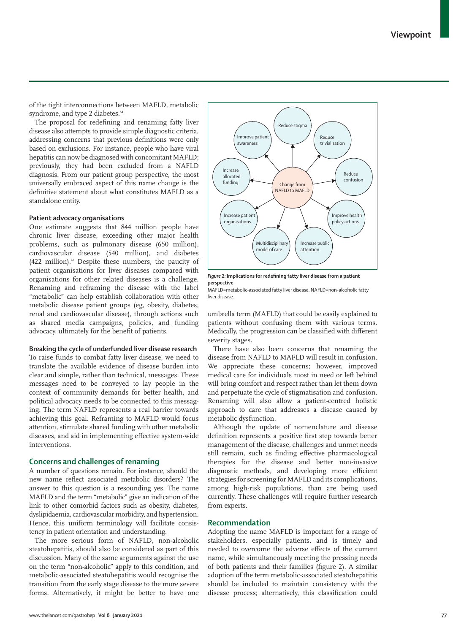of the tight interconnections between MAFLD, metabolic syndrome, and type 2 diabetes.<sup>64</sup>

The proposal for redefining and renaming fatty liver disease also attempts to provide simple diagnostic criteria, addressing concerns that previous definitions were only based on exclusions. For instance, people who have viral hepatitis can now be diagnosed with concomitant MAFLD; previously, they had been excluded from a NAFLD diagnosis. From our patient group perspective, the most universally embraced aspect of this name change is the definitive statement about what constitutes MAFLD as a standalone entity.

# **Patient advocacy organisations**

One estimate suggests that 844 million people have chronic liver disease, exceeding other major health problems, such as pulmonary disease (650 million), cardiovascular disease (540 million), and diabetes  $(422 \text{ million})$ .<sup>41</sup> Despite these numbers, the paucity of patient organisations for liver diseases compared with organisations for other related diseases is a challenge. Renaming and reframing the disease with the label "metabolic" can help establish collaboration with other metabolic disease patient groups (eg, obesity, diabetes, renal and cardiovascular disease), through actions such as shared media campaigns, policies, and funding advocacy, ultimately for the benefit of patients.

# **Breaking the cycle of underfunded liver disease research**

To raise funds to combat fatty liver disease, we need to translate the available evidence of disease burden into clear and simple, rather than technical, messages. These messages need to be conveyed to lay people in the context of community demands for better health, and political advocacy needs to be connected to this messaging. The term NAFLD represents a real barrier towards achieving this goal. Reframing to MAFLD would focus attention, stimulate shared funding with other metabolic diseases, and aid in implementing effective system-wide interventions.

# **Concerns and challenges of renaming**

A number of questions remain. For instance, should the new name reflect associated metabolic disorders? The answer to this question is a resounding yes. The name MAFLD and the term "metabolic" give an indication of the link to other comorbid factors such as obesity, diabetes, dyslipidaemia, cardiovascular morbidity, and hypertension. Hence, this uniform terminology will facilitate consistency in patient orientation and understanding.

The more serious form of NAFLD, non-alcoholic steatohepatitis, should also be considered as part of this discussion. Many of the same arguments against the use on the term "non-alcoholic" apply to this condition, and metabolic-associated steatohepatitis would recognise the transition from the early stage disease to the more severe forms. Alternatively, it might be better to have one



*Figure 2:* **Implications for redefining fatty liver disease from a patient perspective**

.<br>MAFLD=metabolic-associated fatty liver disease. NAFLD=non-alcoholic fatty liver disease.

umbrella term (MAFLD) that could be easily explained to patients without confusing them with various terms. Medically, the progression can be classified with different severity stages.

There have also been concerns that renaming the disease from NAFLD to MAFLD will result in confusion. We appreciate these concerns; however, improved medical care for individuals most in need or left behind will bring comfort and respect rather than let them down and perpetuate the cycle of stigmatisation and confusion. Renaming will also allow a patient-centred holistic approach to care that addresses a disease caused by metabolic dysfunction.

Although the update of nomenclature and disease definition represents a positive first step towards better management of the disease, challenges and unmet needs still remain, such as finding effective pharmacological therapies for the disease and better non-invasive diagnostic methods, and developing more efficient strategies for screening for MAFLD and its complications, among high-risk populations, than are being used currently. These challenges will require further research from experts.

### **Recommendation**

Adopting the name MAFLD is important for a range of stakeholders, especially patients, and is timely and needed to overcome the adverse effects of the current name, while simultaneously meeting the pressing needs of both patients and their families (figure 2). A similar adoption of the term metabolic-associated steatohepatitis should be included to maintain consistency with the disease process; alternatively, this classification could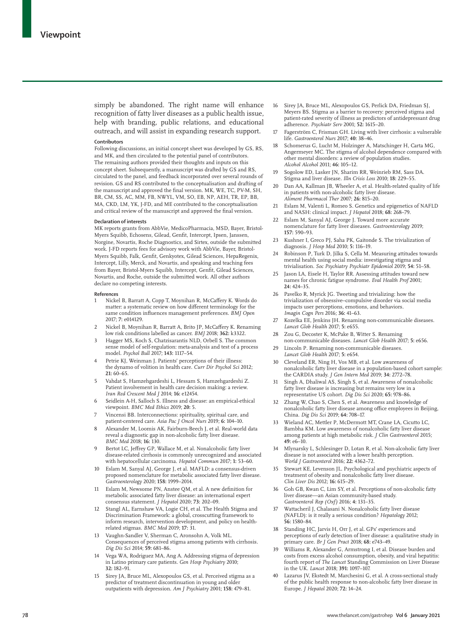simply be abandoned. The right name will enhance recognition of fatty liver diseases as a public health issue, help with branding, public relations, and educational outreach, and will assist in expanding research support.

### **Contributors**

Following discussions, an initial concept sheet was developed by GS, RS, and MK, and then circulated to the potential panel of contributors. The remaining authors provided their thoughts and inputs on this concept sheet. Subsequently, a manuscript was drafted by GS and RS, circulated to the panel, and feedback incorporated over several rounds of revision. GS and RS contributed to the conceptualisation and drafting of the manuscript and approved the final version. MK, WE, TC, PV-M, SH, BR, CM, SS, AC, MM, FB, NWYL, VM, SO, EB, NP, AEH, TR, EP, BB, MA, CKD, LM, YK, J-FD, and ME contributed to the conceptualisation and critical review of the manuscript and approved the final version.

### **Declaration of interests**

MK reports grants from AbbVie, MedicoPharmacia, MSD, Bayer, Bristol-Myers Squibb, Echosens, Gilead, Genfit, Intercept, Ipsen, Janssen, Norgine, Novartis, Roche Diagnostics, and Sirtex, outside the submitted work. J-FD reports fees for advisory work with AbbVie, Bayer, Bristol-Myers Squibb, Falk, Genfit, Genkyotex, Gilead Sciences, HepaRegenix, Intercept, Lilly, Merck, and Novartis, and speaking and teaching fees from Bayer, Bristol-Myers Squibb, Intercept, Genfit, Gilead Sciences, Novartis, and Roche, outside the submitted work. All other authors declare no competing interests.

#### **References**

- 1 Nickel B, Barratt A, Copp T, Moynihan R, McCaffery K. Words do matter: a systematic review on how different terminology for the same condition influences management preferences. *BMJ Open*  2017; **7:** e014129.
- 2 Nickel B, Moynihan R, Barratt A, Brito JP, McCaffery K. Renaming low risk conditions labelled as cancer. *BMJ* 2018; **362:** k3322.
- Hagger MS, Koch S, Chatzisarantis NLD, Orbell S. The common sense model of self-regulation: meta-analysis and test of a process model. *Psychol Bull* 2017; **143:** 1117–54.
- Petrie KJ, Weinman J. Patients' perceptions of their illness: the dynamo of volition in health care. *Curr Dir Psychol Sci* 2012; **21:** 60–65.
- 5 Vahdat S, Hamzehgardeshi L, Hessam S, Hamzehgardeshi Z. Patient involvement in health care decision making: a review. *Iran Red Crescent Med J* 2014; **16:** e12454.
- 6 Seidlein A-H, Salloch S. Illness and disease: an empirical-ethical viewpoint. *BMC Med Ethics* 2019; **20:** 5.
- 7 Vincensi BB. Interconnections: spirituality, spiritual care, and patient-centered care. *Asia Pac J Oncol Nurs* 2019; **6:** 104–10.
- 8 Alexander M, Loomis AK, Fairburn-Beech J, et al. Real-world data reveal a diagnostic gap in non-alcoholic fatty liver disease. *BMC Med* 2018; **16:** 130.
- 9 Bertot LC, Jeffrey GP, Wallace M, et al. Nonalcoholic fatty liver disease-related cirrhosis is commonly unrecognized and associated with hepatocellular carcinoma. *Hepatol Commun* 2017; **1:** 53–60.
- 10 Eslam M, Sanyal AJ, George J, et al. MAFLD: a consensus-driven proposed nomenclature for metabolic associated fatty liver disease. *Gastroenterology* 2020; **158:** 1999–2014.
- 11 Eslam M, Newsome PN, Anstee QM, et al. A new definition for metabolic associated fatty liver disease: an international expert consensus statement. *J Hepatol* 2020; **73:** 202–09.
- 12 Stangl AL, Earnshaw VA, Logie CH, et al. The Health Stigma and Discrimination Framework: a global, crosscutting framework to inform research, intervention development, and policy on healthrelated stigmas. *BMC Med* 2019; **17:** 31.
- 13 Vaughn-Sandler V, Sherman C, Aronsohn A, Volk ML. Consequences of perceived stigma among patients with cirrhosis. *Dig Dis Sci* 2014; **59:** 681–86.
- 14 Vega WA, Rodriguez MA, Ang A. Addressing stigma of depression in Latino primary care patients. *Gen Hosp Psychiatry* 2010; **32:** 182–91.
- Sirey JA, Bruce ML, Alexopoulos GS, et al. Perceived stigma as a predictor of treatment discontinuation in young and older outpatients with depression. *Am J Psychiatry* 2001; **158:** 479–81.
- 16 Sirey JA, Bruce ML, Alexopoulos GS, Perlick DA, Friedman SJ, Meyers BS. Stigma as a barrier to recovery: perceived stigma and patient-rated severity of illness as predictors of antidepressant drug adherence. *Psychiatr Serv* 2001; **52:** 1615–20.
- 17 Fagerström C, Frisman GH. Living with liver cirrhosis: a vulnerable life. *Gastroenterol Nurs* 2017; **40:** 38–46.
- 18 Schomerus G, Lucht M, Holzinger A, Matschinger H, Carta MG, Angermeyer MC. The stigma of alcohol dependence compared with other mental disorders: a review of population studies. *Alcohol Alcohol* 2011; **46:** 105–12.
- Sogolow ED, Lasker JN, Sharim RR, Weinrieb RM, Sass DA. Stigma and liver disease. *Illn Crisis Loss* 2010; **18:** 229–55.
- Dan AA, Kallman JB, Wheeler A, et al. Health-related quality of life in patients with non-alcoholic fatty liver disease. *Aliment Pharmacol Ther* 2007; **26:** 815–20.
- Eslam M, Valenti L, Romeo S. Genetics and epigenetics of NAFLD and NASH: clinical impact. *J Hepatol* 2018; **68:** 268–79.
- Eslam M, Sanyal AJ, George J. Toward more accurate nomenclature for fatty liver diseases. *Gastroenterology* 2019; **157:** 590–93.
- 23 Kushner I, Greco PJ, Saha PK, Gaitonde S. The trivialization of diagnosis. *J Hosp Med* 2010; **5:** 116–19.
- 24 Robinson P, Turk D, Jilka S, Cella M. Measuring attitudes towards mental health using social media: investigating stigma and trivialisation. *Soc Psychiatry Psychiatr Epidemiol* 2019; **54:** 51–58.
- Jason LA, Eisele H, Taylor RR. Assessing attitudes toward new names for chronic fatigue syndrome. *Eval Health Prof* 2001; **24:** 424–35.
- 26 Pavelko R, Myrick JG. Tweeting and trivializing: how the trivialization of obsessive–compulsive disorder via social media impacts user perceptions, emotions, and behaviors. *Imagin Cogn Pers* 2016; **36:** 41–63.
- Kozelka EE, Jenkins JH. Renaming non-communicable diseases. *Lancet Glob Health* 2017; **5:** e655.
- 28 Zou G, Decoster K, McPake B, Witter S. Renaming non-communicable diseases. *Lancet Glob Health* 2017; **5:** e656.
- 29 Lincoln P. Renaming non-communicable diseases. *Lancet Glob Health* 2017; **5:** e654.
- 30 Cleveland ER, Ning H, Vos MB, et al. Low awareness of nonalcoholic fatty liver disease in a population-based cohort sample: the CARDIA study. *J Gen Intern Med* 2019; **34:** 2772–78.
- Singh A, Dhaliwal AS, Singh S, et al. Awareness of nonalcoholic fatty liver disease is increasing but remains very low in a representative US cohort. *Dig Dis Sci* 2020; **65:** 978–86.
- 32 Zhang W, Chao S, Chen S, et al. Awareness and knowledge of nonalcoholic fatty liver disease among office employees in Beijing, China. *Dig Dis Sci* 2019; **64:** 708–17.
- 33 Wieland AC, Mettler P, McDermott MT, Crane LA, Cicutto LC, Bambha KM. Low awareness of nonalcoholic fatty liver disease among patients at high metabolic risk. *J Clin Gastroenterol* 2015; **49:** e6–10.
- 34 Mlynarsky L, Schlesinger D, Lotan R, et al. Non-alcoholic fatty liver disease is not associated with a lower health perception. *World J Gastroenterol* 2016; **22:** 4362–72.
- 35 Stewart KE, Levenson JL. Psychological and psychiatric aspects of treatment of obesity and nonalcoholic fatty liver disease. *Clin Liver Dis* 2012; **16:** 615–29.
- Goh GB, Kwan C, Lim SY, et al. Perceptions of non-alcoholic fatty liver disease—an Asian community-based study. *Gastroenterol Rep (Oxf)* 2016; **4:** 131–35.
- 37 Wattacheril J, Chalasani N. Nonalcoholic fatty liver disease (NAFLD): is it really a serious condition? *Hepatology* 2012; **56:** 1580–84.
- Standing HC, Jarvis H, Orr J, et al. GPs' experiences and perceptions of early detection of liver disease: a qualitative study in primary care. *Br J Gen Pract* 2018; **68:** e743–49.
- 39 Williams R, Alexander G, Armstrong I, et al. Disease burden and costs from excess alcohol consumption, obesity, and viral hepatitis: fourth report of *The Lancet* Standing Commission on Liver Disease in the UK. *Lancet* 2018; **391:** 1097–107.
- Lazarus JV, Ekstedt M, Marchesini G, et al. A cross-sectional study of the public health response to non-alcoholic fatty liver disease in Europe. *J Hepatol* 2020; **72:** 14–24.